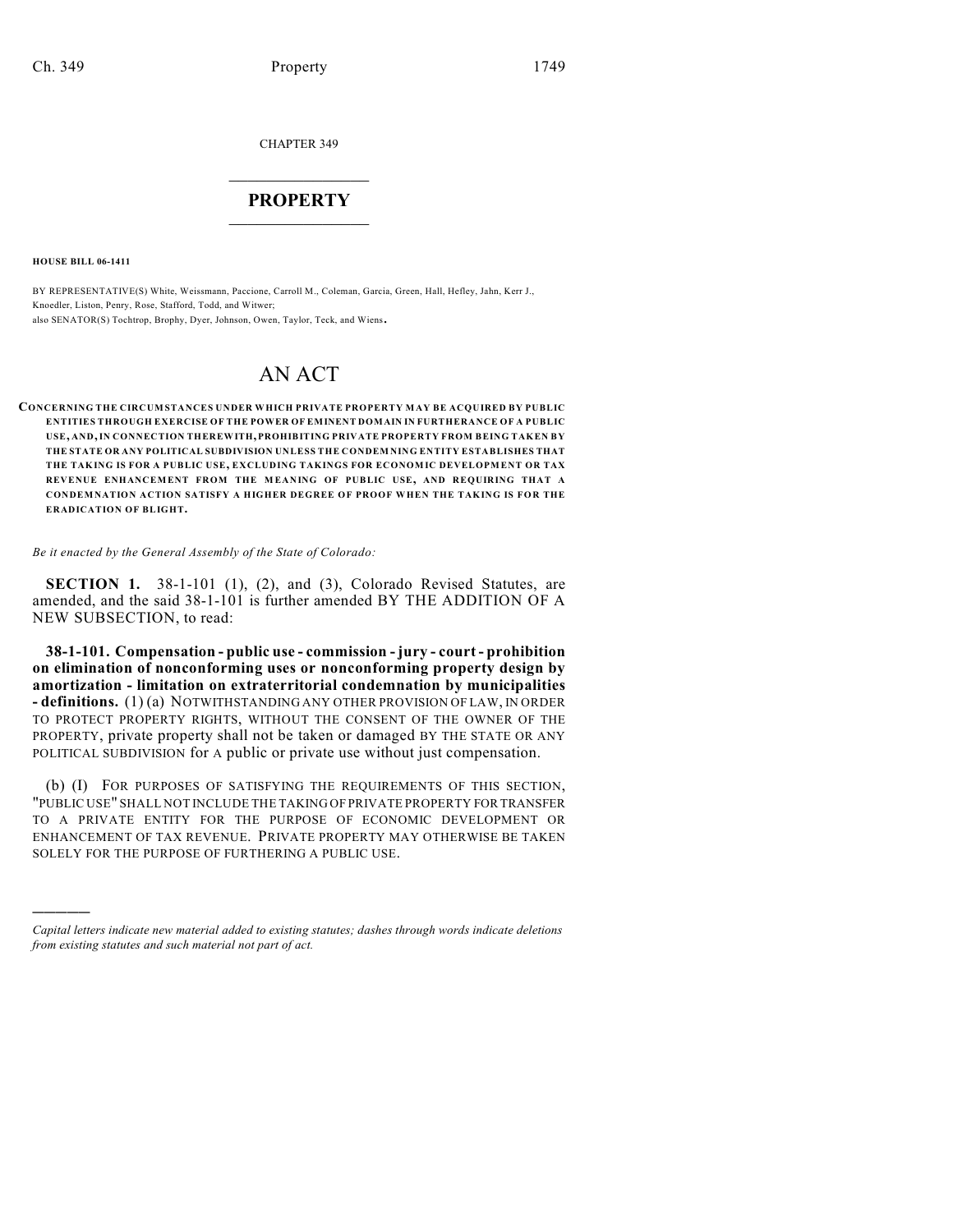CHAPTER 349

## $\overline{\phantom{a}}$  . The set of the set of the set of the set of the set of the set of the set of the set of the set of the set of the set of the set of the set of the set of the set of the set of the set of the set of the set o **PROPERTY**  $\_$   $\_$   $\_$   $\_$   $\_$   $\_$   $\_$   $\_$   $\_$

**HOUSE BILL 06-1411**

)))))

BY REPRESENTATIVE(S) White, Weissmann, Paccione, Carroll M., Coleman, Garcia, Green, Hall, Hefley, Jahn, Kerr J., Knoedler, Liston, Penry, Rose, Stafford, Todd, and Witwer; also SENATOR(S) Tochtrop, Brophy, Dyer, Johnson, Owen, Taylor, Teck, and Wiens.

# AN ACT

**CONCERNING THE CIRCUMSTANCES UNDER WHICH PRIVATE PROPERTY MAY BE ACQUIRED BY PUBLIC ENTITIES THROUGH EXERCISE OF THE POWER OF EMINENT DOMAIN IN FURTHERANCE OF A PUBLIC USE, AND, IN CONNECTION THEREWITH, PROHIBITING PRIVATE PROPERTY FROM BEING TAKEN BY THE STATE OR ANY POLITICAL SUBDIVISION UNLESS THE CONDEM NING ENTITY ESTABLISHES THAT THE TAKING IS FOR A PUBLIC USE, EXCLUDING TAKINGS FOR ECONOMIC DEVELOPMENT OR TAX REVENUE ENHANCEMENT FROM THE MEANING OF PUBLIC USE, AND REQUIRING THAT A CONDEMNATION ACTION SATISFY A HIGHER DEGREE OF PROOF WHEN THE TAKING IS FOR THE ERADICATION OF BLIGHT.**

#### *Be it enacted by the General Assembly of the State of Colorado:*

**SECTION 1.** 38-1-101 (1), (2), and (3), Colorado Revised Statutes, are amended, and the said 38-1-101 is further amended BY THE ADDITION OF A NEW SUBSECTION, to read:

**38-1-101. Compensation - public use - commission - jury - court - prohibition on elimination of nonconforming uses or nonconforming property design by amortization - limitation on extraterritorial condemnation by municipalities - definitions.** (1) (a) NOTWITHSTANDING ANY OTHER PROVISION OF LAW, IN ORDER TO PROTECT PROPERTY RIGHTS, WITHOUT THE CONSENT OF THE OWNER OF THE PROPERTY, private property shall not be taken or damaged BY THE STATE OR ANY POLITICAL SUBDIVISION for A public or private use without just compensation.

(b) (I) FOR PURPOSES OF SATISFYING THE REQUIREMENTS OF THIS SECTION, "PUBLIC USE" SHALL NOT INCLUDE THE TAKING OF PRIVATE PROPERTY FOR TRANSFER TO A PRIVATE ENTITY FOR THE PURPOSE OF ECONOMIC DEVELOPMENT OR ENHANCEMENT OF TAX REVENUE. PRIVATE PROPERTY MAY OTHERWISE BE TAKEN SOLELY FOR THE PURPOSE OF FURTHERING A PUBLIC USE.

*Capital letters indicate new material added to existing statutes; dashes through words indicate deletions from existing statutes and such material not part of act.*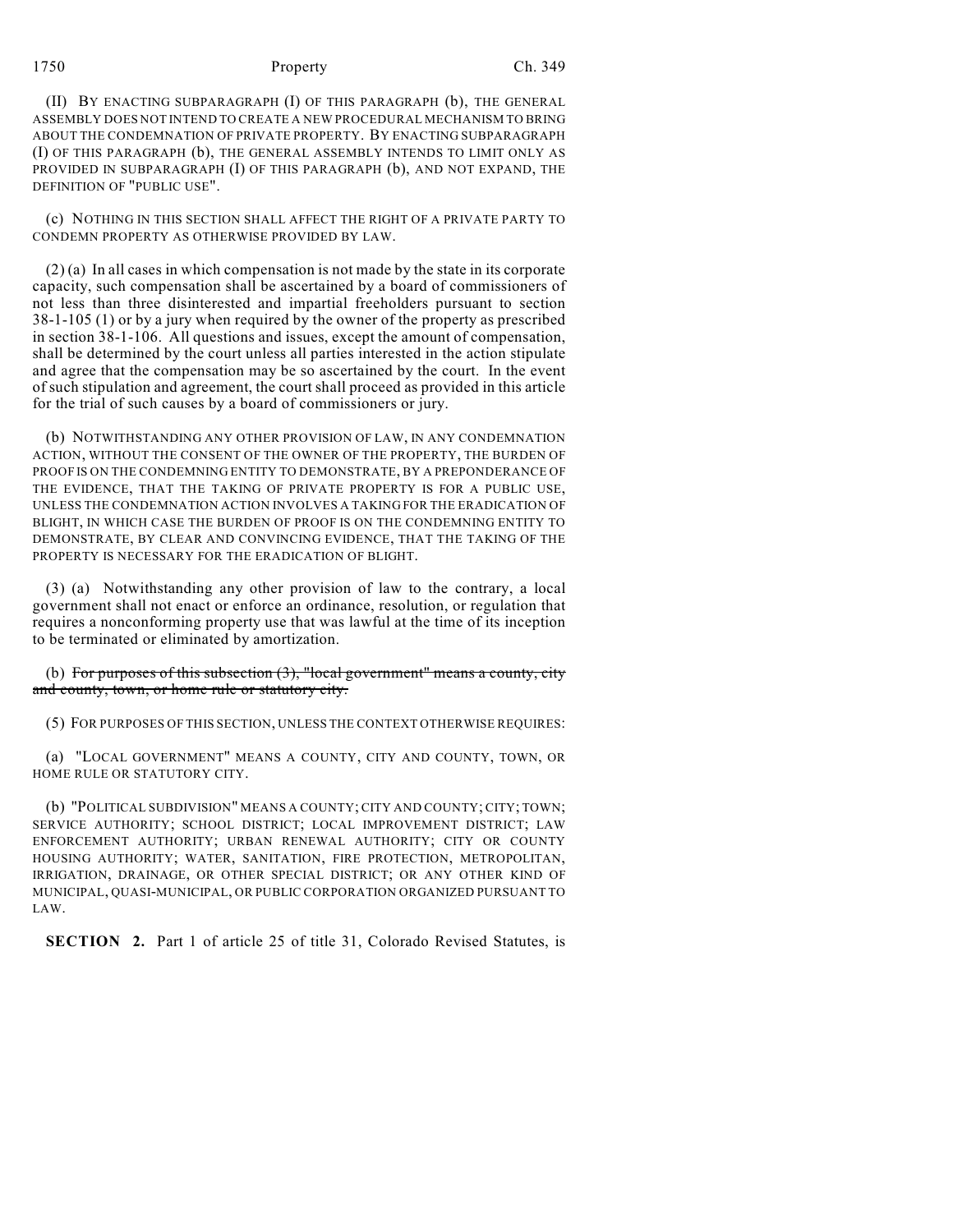### 1750 Property Ch. 349

(II) BY ENACTING SUBPARAGRAPH (I) OF THIS PARAGRAPH (b), THE GENERAL ASSEMBLY DOES NOT INTEND TO CREATE A NEW PROCEDURAL MECHANISM TO BRING ABOUT THE CONDEMNATION OF PRIVATE PROPERTY. BY ENACTING SUBPARAGRAPH (I) OF THIS PARAGRAPH (b), THE GENERAL ASSEMBLY INTENDS TO LIMIT ONLY AS PROVIDED IN SUBPARAGRAPH (I) OF THIS PARAGRAPH (b), AND NOT EXPAND, THE DEFINITION OF "PUBLIC USE".

(c) NOTHING IN THIS SECTION SHALL AFFECT THE RIGHT OF A PRIVATE PARTY TO CONDEMN PROPERTY AS OTHERWISE PROVIDED BY LAW.

(2) (a) In all cases in which compensation is not made by the state in its corporate capacity, such compensation shall be ascertained by a board of commissioners of not less than three disinterested and impartial freeholders pursuant to section 38-1-105 (1) or by a jury when required by the owner of the property as prescribed in section 38-1-106. All questions and issues, except the amount of compensation, shall be determined by the court unless all parties interested in the action stipulate and agree that the compensation may be so ascertained by the court. In the event of such stipulation and agreement, the court shall proceed as provided in this article for the trial of such causes by a board of commissioners or jury.

(b) NOTWITHSTANDING ANY OTHER PROVISION OF LAW, IN ANY CONDEMNATION ACTION, WITHOUT THE CONSENT OF THE OWNER OF THE PROPERTY, THE BURDEN OF PROOF IS ON THE CONDEMNING ENTITY TO DEMONSTRATE, BY A PREPONDERANCE OF THE EVIDENCE, THAT THE TAKING OF PRIVATE PROPERTY IS FOR A PUBLIC USE, UNLESS THE CONDEMNATION ACTION INVOLVES A TAKING FOR THE ERADICATION OF BLIGHT, IN WHICH CASE THE BURDEN OF PROOF IS ON THE CONDEMNING ENTITY TO DEMONSTRATE, BY CLEAR AND CONVINCING EVIDENCE, THAT THE TAKING OF THE PROPERTY IS NECESSARY FOR THE ERADICATION OF BLIGHT.

(3) (a) Notwithstanding any other provision of law to the contrary, a local government shall not enact or enforce an ordinance, resolution, or regulation that requires a nonconforming property use that was lawful at the time of its inception to be terminated or eliminated by amortization.

(b) For purposes of this subsection  $(3)$ , "local government" means a county, city and county, town, or home rule or statutory city.

(5) FOR PURPOSES OF THIS SECTION, UNLESS THE CONTEXT OTHERWISE REQUIRES:

(a) "LOCAL GOVERNMENT" MEANS A COUNTY, CITY AND COUNTY, TOWN, OR HOME RULE OR STATUTORY CITY.

(b) "POLITICAL SUBDIVISION" MEANS A COUNTY; CITY AND COUNTY; CITY; TOWN; SERVICE AUTHORITY; SCHOOL DISTRICT; LOCAL IMPROVEMENT DISTRICT; LAW ENFORCEMENT AUTHORITY; URBAN RENEWAL AUTHORITY; CITY OR COUNTY HOUSING AUTHORITY; WATER, SANITATION, FIRE PROTECTION, METROPOLITAN, IRRIGATION, DRAINAGE, OR OTHER SPECIAL DISTRICT; OR ANY OTHER KIND OF MUNICIPAL, QUASI-MUNICIPAL, OR PUBLIC CORPORATION ORGANIZED PURSUANT TO LAW.

**SECTION 2.** Part 1 of article 25 of title 31, Colorado Revised Statutes, is